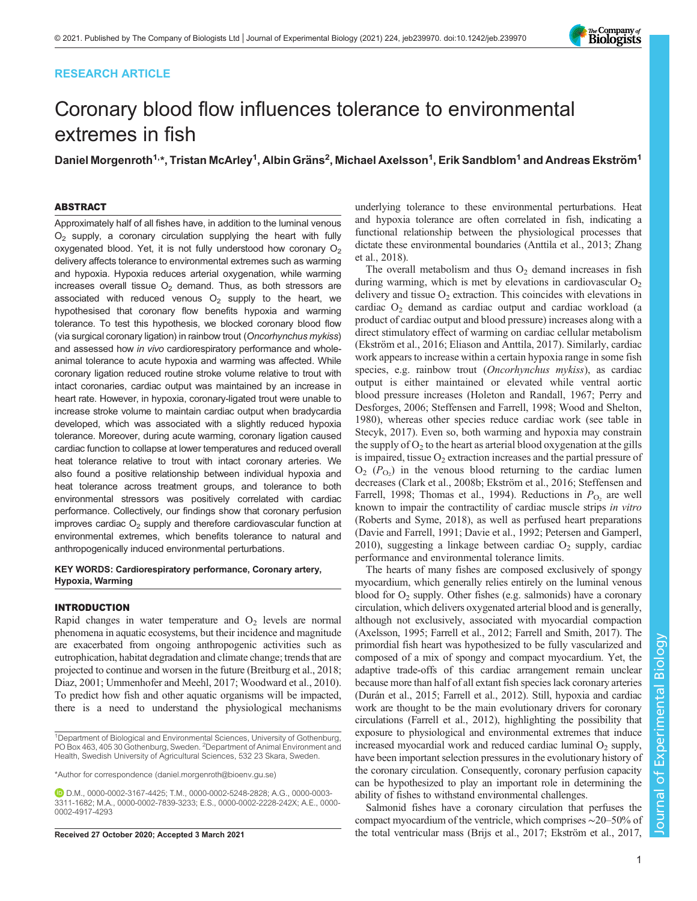# RESEARCH ARTICLE

# Coronary blood flow influences tolerance to environmental extremes in fish

Daniel Morgenroth<sup>1,</sup>\*, Tristan McArley<sup>1</sup>, Albin Gräns<sup>2</sup>, Michael Axelsson<sup>1</sup>, Erik Sandblom<sup>1</sup> and Andreas Ekström<sup>1</sup>

# ABSTRACT

Approximately half of all fishes have, in addition to the luminal venous  $O<sub>2</sub>$  supply, a coronary circulation supplying the heart with fully oxygenated blood. Yet, it is not fully understood how coronary  $O<sub>2</sub>$ delivery affects tolerance to environmental extremes such as warming and hypoxia. Hypoxia reduces arterial oxygenation, while warming increases overall tissue  $O<sub>2</sub>$  demand. Thus, as both stressors are associated with reduced venous  $O_2$  supply to the heart, we hypothesised that coronary flow benefits hypoxia and warming tolerance. To test this hypothesis, we blocked coronary blood flow (via surgical coronary ligation) in rainbow trout (Oncorhynchus mykiss) and assessed how in vivo cardiorespiratory performance and wholeanimal tolerance to acute hypoxia and warming was affected. While coronary ligation reduced routine stroke volume relative to trout with intact coronaries, cardiac output was maintained by an increase in heart rate. However, in hypoxia, coronary-ligated trout were unable to increase stroke volume to maintain cardiac output when bradycardia developed, which was associated with a slightly reduced hypoxia tolerance. Moreover, during acute warming, coronary ligation caused cardiac function to collapse at lower temperatures and reduced overall heat tolerance relative to trout with intact coronary arteries. We also found a positive relationship between individual hypoxia and heat tolerance across treatment groups, and tolerance to both environmental stressors was positively correlated with cardiac performance. Collectively, our findings show that coronary perfusion improves cardiac  $O<sub>2</sub>$  supply and therefore cardiovascular function at environmental extremes, which benefits tolerance to natural and anthropogenically induced environmental perturbations.

## KEY WORDS: Cardiorespiratory performance, Coronary artery, Hypoxia, Warming

# INTRODUCTION

Rapid changes in water temperature and  $O<sub>2</sub>$  levels are normal phenomena in aquatic ecosystems, but their incidence and magnitude are exacerbated from ongoing anthropogenic activities such as eutrophication, habitat degradation and climate change; trends that are projected to continue and worsen in the future [\(Breitburg et al., 2018](#page-9-0); [Diaz, 2001](#page-9-0); [Ummenhofer and Meehl, 2017; Woodward et al., 2010\)](#page-10-0). To predict how fish and other aquatic organisms will be impacted, there is a need to understand the physiological mechanisms

underlying tolerance to these environmental perturbations. Heat and hypoxia tolerance are often correlated in fish, indicating a functional relationship between the physiological processes that dictate these environmental boundaries ([Anttila et al., 2013;](#page-9-0) [Zhang](#page-10-0) [et al., 2018\)](#page-10-0).

The overall metabolism and thus  $O_2$  demand increases in fish during warming, which is met by elevations in cardiovascular  $O<sub>2</sub>$ delivery and tissue  $O_2$  extraction. This coincides with elevations in cardiac  $O_2$  demand as cardiac output and cardiac workload (a product of cardiac output and blood pressure) increases along with a direct stimulatory effect of warming on cardiac cellular metabolism [\(Ekström et al., 2016](#page-9-0); [Eliason and Anttila, 2017\)](#page-9-0). Similarly, cardiac work appears to increase within a certain hypoxia range in some fish species, e.g. rainbow trout (Oncorhynchus mykiss), as cardiac output is either maintained or elevated while ventral aortic blood pressure increases [\(Holeton and Randall, 1967](#page-9-0); [Perry and](#page-10-0) [Desforges, 2006](#page-10-0); [Steffensen and Farrell, 1998](#page-10-0); [Wood and Shelton,](#page-10-0) [1980\)](#page-10-0), whereas other species reduce cardiac work (see table in [Stecyk, 2017\)](#page-10-0). Even so, both warming and hypoxia may constrain the supply of  $O_2$  to the heart as arterial blood oxygenation at the gills is impaired, tissue  $O_2$  extraction increases and the partial pressure of  $O_2$  ( $P_{O_2}$ ) in the venous blood returning to the cardiac lumen decreases [\(Clark et al., 2008b; Ekström et al., 2016](#page-9-0); [Steffensen and](#page-10-0) [Farrell, 1998; Thomas et al., 1994](#page-10-0)). Reductions in  $P_{\text{O}_2}$  are well known to impair the contractility of cardiac muscle strips in vitro [\(Roberts and Syme, 2018\)](#page-10-0), as well as perfused heart preparations [\(Davie and Farrell, 1991](#page-9-0); [Davie et al., 1992](#page-9-0); [Petersen and Gamperl,](#page-10-0) [2010\)](#page-10-0), suggesting a linkage between cardiac  $O_2$  supply, cardiac performance and environmental tolerance limits.

The hearts of many fishes are composed exclusively of spongy myocardium, which generally relies entirely on the luminal venous blood for  $O_2$  supply. Other fishes (e.g. salmonids) have a coronary circulation, which delivers oxygenated arterial blood and is generally, although not exclusively, associated with myocardial compaction [\(Axelsson, 1995](#page-9-0); [Farrell et al., 2012](#page-9-0); [Farrell and Smith, 2017](#page-9-0)). The primordial fish heart was hypothesized to be fully vascularized and composed of a mix of spongy and compact myocardium. Yet, the adaptive trade-offs of this cardiac arrangement remain unclear because more than half of all extant fish species lack coronary arteries [\(Durán et al., 2015; Farrell et al., 2012](#page-9-0)). Still, hypoxia and cardiac work are thought to be the main evolutionary drivers for coronary circulations [\(Farrell et al., 2012](#page-9-0)), highlighting the possibility that exposure to physiological and environmental extremes that induce increased myocardial work and reduced cardiac luminal  $O<sub>2</sub>$  supply, have been important selection pressures in the evolutionary history of the coronary circulation. Consequently, coronary perfusion capacity can be hypothesized to play an important role in determining the ability of fishes to withstand environmental challenges.

Salmonid fishes have a coronary circulation that perfuses the compact myocardium of the ventricle, which comprises ∼20–50% of Received 27 October 2020; Accepted 3 March 2021 the total ventricular mass ([Brijs et al., 2017](#page-9-0); [Ekström et al., 2017,](#page-9-0)



<sup>&</sup>lt;sup>1</sup>Department of Biological and Environmental Sciences, University of Gothenburg, PO Box 463, 405 30 Gothenburg, Sweden. <sup>2</sup> Department of Animal Environment and Health, Swedish University of Agricultural Sciences, 532 23 Skara, Sweden.

<sup>\*</sup>Author for correspondence [\(daniel.morgenroth@bioenv.gu.se\)](mailto:daniel.morgenroth@bioenv.gu.se)

D.M., [0000-0002-3167-4425](http://orcid.org/0000-0002-3167-4425); T.M., [0000-0002-5248-2828;](http://orcid.org/0000-0002-5248-2828) A.G., [0000-0003-](http://orcid.org/0000-0003-3311-1682) [3311-1682](http://orcid.org/0000-0003-3311-1682); M.A., [0000-0002-7839-3233;](http://orcid.org/0000-0002-7839-3233) E.S., [0000-0002-2228-242X](http://orcid.org/0000-0002-2228-242X); A.E., [0000-](http://orcid.org/0000-0002-4917-4293) [0002-4917-4293](http://orcid.org/0000-0002-4917-4293)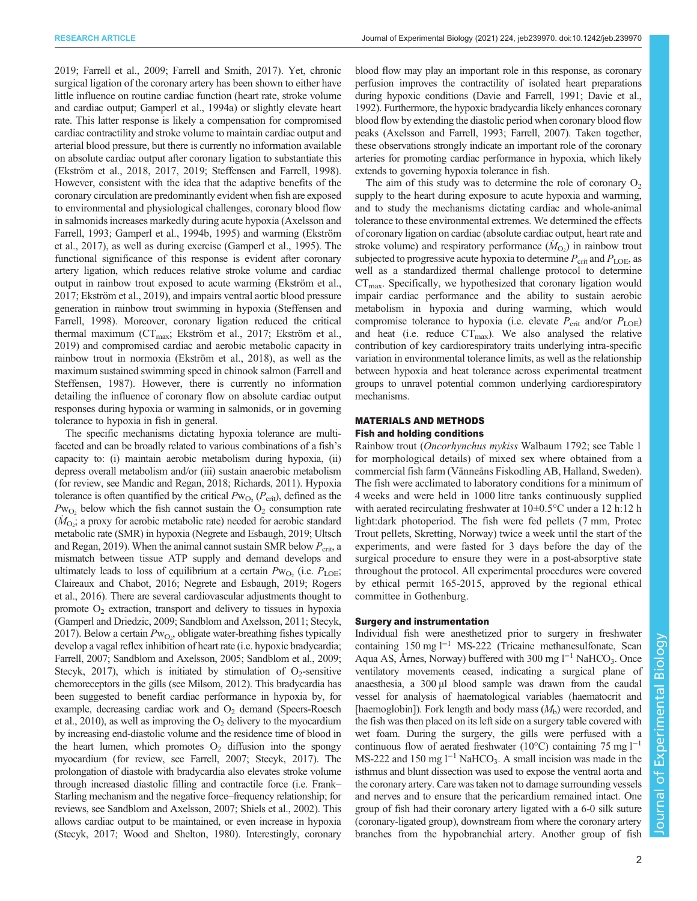RESEARCH ARTICLE **ARTICLE** ARTICLE ARTICLE **Journal of Experimental Biology (2021) 224, jeb239970. doi:10.1242/jeb.239970** 

[2019; Farrell et al., 2009](#page-9-0); [Farrell and Smith, 2017\)](#page-9-0). Yet, chronic surgical ligation of the coronary artery has been shown to either have little influence on routine cardiac function (heart rate, stroke volume and cardiac output; [Gamperl et al., 1994a](#page-9-0)) or slightly elevate heart rate. This latter response is likely a compensation for compromised cardiac contractility and stroke volume to maintain cardiac output and arterial blood pressure, but there is currently no information available on absolute cardiac output after coronary ligation to substantiate this [\(Ekström et al., 2018](#page-9-0), [2017, 2019;](#page-9-0) [Steffensen and Farrell, 1998\)](#page-10-0). However, consistent with the idea that the adaptive benefits of the coronary circulation are predominantly evident when fish are exposed to environmental and physiological challenges, coronary blood flow in salmonids increases markedly during acute hypoxia [\(Axelsson and](#page-9-0) [Farrell, 1993; Gamperl et al., 1994b, 1995\)](#page-9-0) and warming ([Ekström](#page-9-0) [et al., 2017](#page-9-0)), as well as during exercise [\(Gamperl et al., 1995](#page-9-0)). The functional significance of this response is evident after coronary artery ligation, which reduces relative stroke volume and cardiac output in rainbow trout exposed to acute warming [\(Ekström et al.,](#page-9-0) [2017; Ekström et al., 2019\)](#page-9-0), and impairs ventral aortic blood pressure generation in rainbow trout swimming in hypoxia [\(Steffensen and](#page-10-0) [Farrell, 1998](#page-10-0)). Moreover, coronary ligation reduced the critical thermal maximum ( $CT_{\text{max}}$ ; [Ekström et al., 2017; Ekström et al.,](#page-9-0) [2019\)](#page-9-0) and compromised cardiac and aerobic metabolic capacity in rainbow trout in normoxia ([Ekström et al., 2018](#page-9-0)), as well as the maximum sustained swimming speed in chinook salmon ([Farrell and](#page-9-0) [Steffensen, 1987\)](#page-9-0). However, there is currently no information detailing the influence of coronary flow on absolute cardiac output responses during hypoxia or warming in salmonids, or in governing tolerance to hypoxia in fish in general.

The specific mechanisms dictating hypoxia tolerance are multifaceted and can be broadly related to various combinations of a fish's capacity to: (i) maintain aerobic metabolism during hypoxia, (ii) depress overall metabolism and/or (iii) sustain anaerobic metabolism (for review, see [Mandic and Regan, 2018](#page-9-0); [Richards, 2011\)](#page-10-0). Hypoxia tolerance is often quantified by the critical  $Pw_{\text{O}_2}$  ( $P_{\text{crit}}$ ), defined as the  $Pw_{O_2}$  below which the fish cannot sustain the  $O_2$  consumption rate  $(M<sub>O2</sub>)$ ; a proxy for aerobic metabolic rate) needed for aerobic standard metabolic rate (SMR) in hypoxia ([Negrete and Esbaugh, 2019;](#page-9-0) [Ultsch](#page-10-0) [and Regan, 2019\)](#page-10-0). When the animal cannot sustain SMR below  $P_{\text{crit}}$ , a mismatch between tissue ATP supply and demand develops and ultimately leads to loss of equilibrium at a certain  $Pw_{O_2}$  (i.e.  $P_{LOE}$ ; [Claireaux and Chabot, 2016](#page-9-0); [Negrete and Esbaugh, 2019;](#page-9-0) [Rogers](#page-10-0) [et al., 2016](#page-10-0)). There are several cardiovascular adjustments thought to promote  $O<sub>2</sub>$  extraction, transport and delivery to tissues in hypoxia [\(Gamperl and Driedzic, 2009](#page-9-0); [Sandblom and Axelsson, 2011](#page-10-0); [Stecyk,](#page-10-0) [2017](#page-10-0)). Below a certain  $Pw_{O_2}$ , obligate water-breathing fishes typically develop a vagal reflex inhibition of heart rate (i.e. hypoxic bradycardia; [Farrell, 2007](#page-9-0); [Sandblom and Axelsson, 2005; Sandblom et al., 2009](#page-10-0); [Stecyk, 2017\)](#page-10-0), which is initiated by stimulation of  $O<sub>2</sub>$ -sensitive chemoreceptors in the gills (see [Milsom, 2012\)](#page-9-0). This bradycardia has been suggested to benefit cardiac performance in hypoxia by, for example, decreasing cardiac work and  $O<sub>2</sub>$  demand [\(Speers-Roesch](#page-10-0) [et al., 2010](#page-10-0)), as well as improving the  $O_2$  delivery to the myocardium by increasing end-diastolic volume and the residence time of blood in the heart lumen, which promotes  $O_2$  diffusion into the spongy myocardium (for review, see [Farrell, 2007;](#page-9-0) [Stecyk, 2017](#page-10-0)). The prolongation of diastole with bradycardia also elevates stroke volume through increased diastolic filling and contractile force (i.e. Frank– Starling mechanism and the negative force–frequency relationship; for reviews, see [Sandblom and Axelsson, 2007](#page-10-0); [Shiels et al., 2002](#page-10-0)). This allows cardiac output to be maintained, or even increase in hypoxia [\(Stecyk, 2017; Wood and Shelton, 1980](#page-10-0)). Interestingly, coronary

blood flow may play an important role in this response, as coronary perfusion improves the contractility of isolated heart preparations during hypoxic conditions [\(Davie and Farrell, 1991; Davie et al.,](#page-9-0) [1992](#page-9-0)). Furthermore, the hypoxic bradycardia likely enhances coronary blood flow by extending the diastolic period when coronary blood flow peaks ([Axelsson and Farrell, 1993](#page-9-0); [Farrell, 2007\)](#page-9-0). Taken together, these observations strongly indicate an important role of the coronary arteries for promoting cardiac performance in hypoxia, which likely extends to governing hypoxia tolerance in fish.

The aim of this study was to determine the role of coronary  $O<sub>2</sub>$ supply to the heart during exposure to acute hypoxia and warming, and to study the mechanisms dictating cardiac and whole-animal tolerance to these environmental extremes. We determined the effects of coronary ligation on cardiac (absolute cardiac output, heart rate and stroke volume) and respiratory performance  $(M<sub>O<sub>2</sub></sub>)$  in rainbow trout subjected to progressive acute hypoxia to determine  $P_{\text{crit}}$  and  $P_{\text{LOE}}$ , as well as a standardized thermal challenge protocol to determine  $CT<sub>max</sub>$ . Specifically, we hypothesized that coronary ligation would impair cardiac performance and the ability to sustain aerobic metabolism in hypoxia and during warming, which would compromise tolerance to hypoxia (i.e. elevate  $P_{\text{crit}}$  and/or  $P_{\text{LOE}}$ ) and heat (i.e. reduce  $CT_{\text{max}}$ ). We also analysed the relative contribution of key cardiorespiratory traits underlying intra-specific variation in environmental tolerance limits, as well as the relationship between hypoxia and heat tolerance across experimental treatment groups to unravel potential common underlying cardiorespiratory mechanisms.

# MATERIALS AND METHODS Fish and holding conditions

Rainbow trout (Oncorhynchus mykiss Walbaum 1792; see [Table 1](#page-2-0) for morphological details) of mixed sex where obtained from a commercial fish farm (Vänneåns Fiskodling AB, Halland, Sweden). The fish were acclimated to laboratory conditions for a minimum of 4 weeks and were held in 1000 litre tanks continuously supplied with aerated recirculating freshwater at 10±0.5°C under a 12 h:12 h light:dark photoperiod. The fish were fed pellets (7 mm, Protec Trout pellets, Skretting, Norway) twice a week until the start of the experiments, and were fasted for 3 days before the day of the surgical procedure to ensure they were in a post-absorptive state throughout the protocol. All experimental procedures were covered by ethical permit 165-2015, approved by the regional ethical committee in Gothenburg.

## Surgery and instrumentation

Individual fish were anesthetized prior to surgery in freshwater containing 150 mg l−<sup>1</sup> MS-222 (Tricaine methanesulfonate, Scan Aqua AS, Årnes, Norway) buffered with 300 mg l<sup>-1</sup> NaHCO<sub>3</sub>. Once ventilatory movements ceased, indicating a surgical plane of anaesthesia, a 300 μl blood sample was drawn from the caudal vessel for analysis of haematological variables (haematocrit and [haemoglobin]). Fork length and body mass  $(M<sub>b</sub>)$  were recorded, and the fish was then placed on its left side on a surgery table covered with wet foam. During the surgery, the gills were perfused with a continuous flow of aerated freshwater (10°C) containing 75 mg l−<sup>1</sup> MS-222 and 150 mg  $l^{-1}$  NaHCO<sub>3</sub>. A small incision was made in the isthmus and blunt dissection was used to expose the ventral aorta and the coronary artery. Care was taken not to damage surrounding vessels and nerves and to ensure that the pericardium remained intact. One group of fish had their coronary artery ligated with a 6-0 silk suture (coronary-ligated group), downstream from where the coronary artery branches from the hypobranchial artery. Another group of fish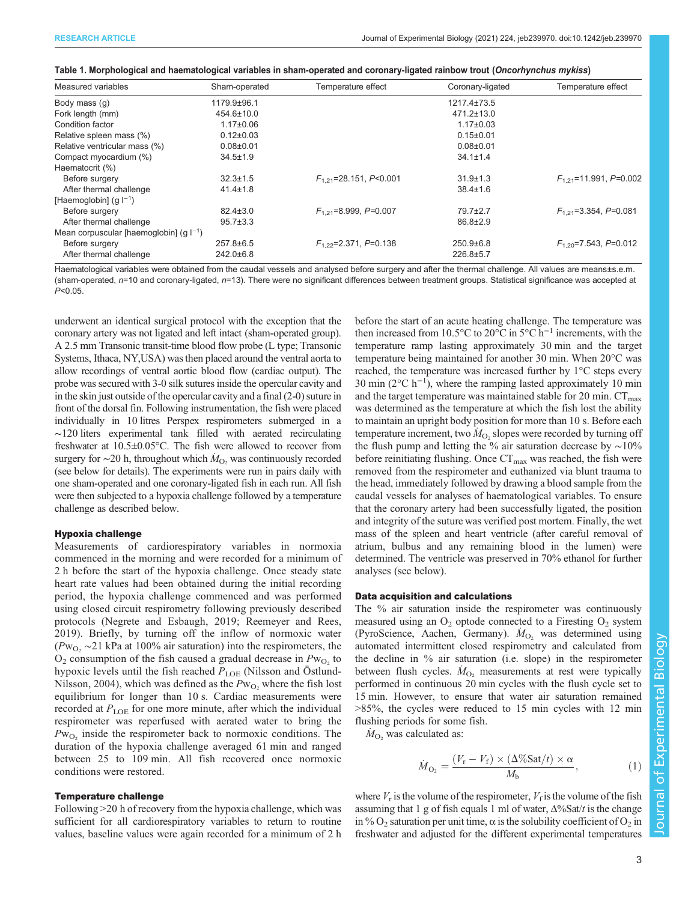<span id="page-2-0"></span>

|  | Table 1. Morphological and haematological variables in sham-operated and coronary-ligated rainbow trout ( <i>Oncorhynchus mykiss</i> ) |  |  |
|--|----------------------------------------------------------------------------------------------------------------------------------------|--|--|
|  |                                                                                                                                        |  |  |

| Measured variables                          | Sham-operated    | Temperature effect          | Coronary-ligated  | Temperature effect          |
|---------------------------------------------|------------------|-----------------------------|-------------------|-----------------------------|
| Body mass (q)                               | 1179.9±96.1      |                             | $1217.4 \pm 73.5$ |                             |
| Fork length (mm)                            | $454.6 \pm 10.0$ |                             | $471.2 \pm 13.0$  |                             |
| Condition factor                            | $1.17 \pm 0.06$  |                             | $1.17 \pm 0.03$   |                             |
| Relative spleen mass (%)                    | $0.12 \pm 0.03$  |                             | $0.15 \pm 0.01$   |                             |
| Relative ventricular mass (%)               | $0.08 + 0.01$    |                             | $0.08 + 0.01$     |                             |
| Compact myocardium (%)                      | $34.5 \pm 1.9$   |                             | $34.1 \pm 1.4$    |                             |
| Haematocrit (%)                             |                  |                             |                   |                             |
| Before surgery                              | $32.3 \pm 1.5$   | $F_{1,21}$ =28.151, P<0.001 | $31.9 \pm 1.3$    | $F_{1,21}$ =11.991, P=0.002 |
| After thermal challenge                     | $41.4 \pm 1.8$   |                             | $38.4 \pm 1.6$    |                             |
| [Haemoglobin] $(q  ^{-1})$                  |                  |                             |                   |                             |
| Before surgery                              | $82.4 \pm 3.0$   | $F_{1,21}$ =8.999, P=0.007  | $79.7 \pm 2.7$    | $F_{1,21}$ =3.354, P=0.081  |
| After thermal challenge                     | $95.7 \pm 3.3$   |                             | $86.8 \pm 2.9$    |                             |
| Mean corpuscular [haemoglobin] $(g  ^{-1})$ |                  |                             |                   |                             |
| Before surgery                              | $257.8 \pm 6.5$  | $F_{1,22}$ =2.371, P=0.138  | $250.9 \pm 6.8$   | $F_{1,20}$ =7.543, P=0.012  |
| After thermal challenge                     | $242.0 \pm 6.8$  |                             | 226.8±5.7         |                             |

Haematological variables were obtained from the caudal vessels and analysed before surgery and after the thermal challenge. All values are means±s.e.m. (sham-operated, n=10 and coronary-ligated, n=13). There were no significant differences between treatment groups. Statistical significance was accepted at  $P < 0.05$ .

underwent an identical surgical protocol with the exception that the coronary artery was not ligated and left intact (sham-operated group). A 2.5 mm Transonic transit-time blood flow probe (L type; Transonic Systems, Ithaca, NY,USA) was then placed around the ventral aorta to allow recordings of ventral aortic blood flow (cardiac output). The probe was secured with 3-0 silk sutures inside the opercular cavity and in the skin just outside of the opercular cavity and a final (2-0) suture in front of the dorsal fin. Following instrumentation, the fish were placed individually in 10 litres Perspex respirometers submerged in a ∼120 liters experimental tank filled with aerated recirculating freshwater at 10.5±0.05°C. The fish were allowed to recover from surgery for  $\sim$ 20 h, throughout which  $\dot{M}_{\text{O}_2}$  was continuously recorded (see below for details). The experiments were run in pairs daily with one sham-operated and one coronary-ligated fish in each run. All fish were then subjected to a hypoxia challenge followed by a temperature challenge as described below.

#### Hypoxia challenge

Measurements of cardiorespiratory variables in normoxia commenced in the morning and were recorded for a minimum of 2 h before the start of the hypoxia challenge. Once steady state heart rate values had been obtained during the initial recording period, the hypoxia challenge commenced and was performed using closed circuit respirometry following previously described protocols [\(Negrete and Esbaugh, 2019](#page-9-0); [Reemeyer and Rees,](#page-10-0) [2019](#page-10-0)). Briefly, by turning off the inflow of normoxic water  $(Pw<sub>O2</sub> \sim 21$  kPa at 100% air saturation) into the respirometers, the  $O_2$  consumption of the fish caused a gradual decrease in  $Pw_{O_2}$  to hypoxic levels until the fish reached  $P_{\rm LOE}$  (Nilsson and Ostlund-[Nilsson, 2004\)](#page-9-0), which was defined as the  $Pw_{O_2}$  where the fish lost equilibrium for longer than 10 s. Cardiac measurements were recorded at  $P_{\text{LOE}}$  for one more minute, after which the individual respirometer was reperfused with aerated water to bring the  $Pw_{\text{O}_2}$  inside the respirometer back to normoxic conditions. The duration of the hypoxia challenge averaged 61 min and ranged between 25 to 109 min. All fish recovered once normoxic conditions were restored.

## Temperature challenge

Following >20 h of recovery from the hypoxia challenge, which was sufficient for all cardiorespiratory variables to return to routine values, baseline values were again recorded for a minimum of 2 h before the start of an acute heating challenge. The temperature was then increased from 10.5°C to 20°C in 5°C h<sup>-1</sup> increments, with the temperature ramp lasting approximately 30 min and the target temperature being maintained for another 30 min. When 20°C was reached, the temperature was increased further by 1°C steps every 30 min ( $2^{\circ}$ C h<sup>-1</sup>), where the ramping lasted approximately 10 min and the target temperature was maintained stable for 20 min.  $CT_{\text{max}}$ was determined as the temperature at which the fish lost the ability to maintain an upright body position for more than 10 s. Before each temperature increment, two  $\dot{M}_{\text{O}_2}$  slopes were recorded by turning off the flush pump and letting the % air saturation decrease by ∼10% before reinitiating flushing. Once  $CT_{\text{max}}$  was reached, the fish were removed from the respirometer and euthanized via blunt trauma to the head, immediately followed by drawing a blood sample from the caudal vessels for analyses of haematological variables. To ensure that the coronary artery had been successfully ligated, the position and integrity of the suture was verified post mortem. Finally, the wet mass of the spleen and heart ventricle (after careful removal of atrium, bulbus and any remaining blood in the lumen) were determined. The ventricle was preserved in 70% ethanol for further analyses (see below).

#### Data acquisition and calculations

The % air saturation inside the respirometer was continuously measured using an  $O_2$  optode connected to a Firesting  $O_2$  system (PyroScience, Aachen, Germany).  $\dot{M}_{O_2}$  was determined using automated intermittent closed respirometry and calculated from the decline in % air saturation (i.e. slope) in the respirometer between flush cycles.  $\dot{M}_{\text{O}_2}$  measurements at rest were typically performed in continuous 20 min cycles with the flush cycle set to 15 min. However, to ensure that water air saturation remained >85%, the cycles were reduced to 15 min cycles with 12 min flushing periods for some fish.

 $\dot{M}_{\text{O}_2}$  was calculated as:

$$
\dot{M}_{\text{O}_2} = \frac{(V_r - V_f) \times (\Delta \% \text{Sat}/t) \times \alpha}{M_b},\tag{1}
$$

where  $V_r$  is the volume of the respirometer,  $V_f$  is the volume of the fish assuming that 1 g of fish equals 1 ml of water,  $\Delta\%$ Sat/t is the change in %  $O_2$  saturation per unit time,  $\alpha$  is the solubility coefficient of  $O_2$  in freshwater and adjusted for the different experimental temperatures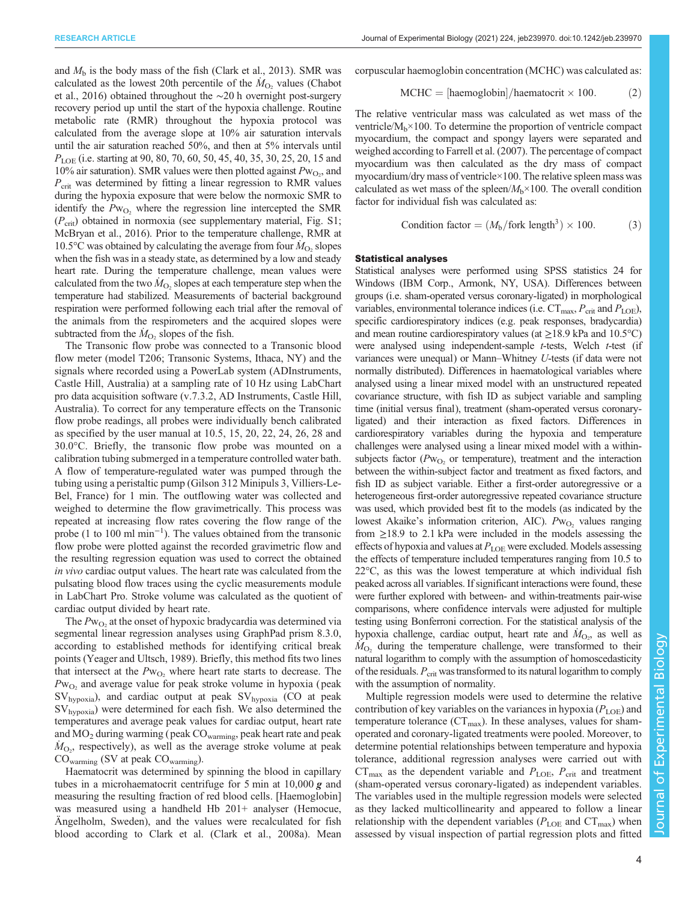and  $M<sub>b</sub>$  is the body mass of the fish [\(Clark et al., 2013\)](#page-9-0). SMR was calculated as the lowest 20th percentile of the  $\dot{M}_{\text{O}_2}$  values [\(Chabot](#page-9-0) [et al., 2016\)](#page-9-0) obtained throughout the ∼20 h overnight post-surgery recovery period up until the start of the hypoxia challenge. Routine metabolic rate (RMR) throughout the hypoxia protocol was calculated from the average slope at 10% air saturation intervals until the air saturation reached 50%, and then at 5% intervals until  $P_{\text{LOE}}$  (i.e. starting at 90, 80, 70, 60, 50, 45, 40, 35, 30, 25, 20, 15 and 10% air saturation). SMR values were then plotted against  $Pw_{O_2}$ , and  $P_{\text{crit}}$  was determined by fitting a linear regression to RMR values during the hypoxia exposure that were below the normoxic SMR to identify the  $Pw_{O_2}$  where the regression line intercepted the SMR  $(P_{\text{crit}})$  obtained in normoxia (see supplementary material, [Fig. S1](http://jeb.biologists.org/lookup/doi/10.1242/jeb.239970.supplemental); [McBryan et al., 2016](#page-9-0)). Prior to the temperature challenge, RMR at 10.5°C was obtained by calculating the average from four  $\dot{M}_{\rm O_2}$  slopes when the fish was in a steady state, as determined by a low and steady heart rate. During the temperature challenge, mean values were calculated from the two  $\dot{M}_{\text{O}_2}$  slopes at each temperature step when the temperature had stabilized. Measurements of bacterial background respiration were performed following each trial after the removal of the animals from the respirometers and the acquired slopes were subtracted from the  $\dot{M}_{\text{O}_2}$  slopes of the fish.

The Transonic flow probe was connected to a Transonic blood flow meter (model T206; Transonic Systems, Ithaca, NY) and the signals where recorded using a PowerLab system (ADInstruments, Castle Hill, Australia) at a sampling rate of 10 Hz using LabChart pro data acquisition software (v.7.3.2, AD Instruments, Castle Hill, Australia). To correct for any temperature effects on the Transonic flow probe readings, all probes were individually bench calibrated as specified by the user manual at 10.5, 15, 20, 22, 24, 26, 28 and 30.0°C. Briefly, the transonic flow probe was mounted on a calibration tubing submerged in a temperature controlled water bath. A flow of temperature-regulated water was pumped through the tubing using a peristaltic pump (Gilson 312 Minipuls 3, Villiers-Le-Bel, France) for 1 min. The outflowing water was collected and weighed to determine the flow gravimetrically. This process was repeated at increasing flow rates covering the flow range of the probe (1 to 100 ml min−<sup>1</sup> ). The values obtained from the transonic flow probe were plotted against the recorded gravimetric flow and the resulting regression equation was used to correct the obtained in vivo cardiac output values. The heart rate was calculated from the pulsating blood flow traces using the cyclic measurements module in LabChart Pro. Stroke volume was calculated as the quotient of cardiac output divided by heart rate.

The  $Pw_{\text{O}_2}$  at the onset of hypoxic bradycardia was determined via segmental linear regression analyses using GraphPad prism 8.3.0, according to established methods for identifying critical break points [\(Yeager and Ultsch, 1989](#page-10-0)). Briefly, this method fits two lines that intersect at the  $Pw_{\text{O}_2}$  where heart rate starts to decrease. The  $Pw<sub>O2</sub>$  and average value for peak stroke volume in hypoxia (peak SVhypoxia), and cardiac output at peak SVhypoxia (CO at peak SVhypoxia) were determined for each fish. We also determined the temperatures and average peak values for cardiac output, heart rate and MO2 during warming ( peak COwarming, peak heart rate and peak  $\dot{M}_{\text{O}_2}$ , respectively), as well as the average stroke volume at peak COwarming (SV at peak COwarming).

Haematocrit was determined by spinning the blood in capillary tubes in a microhaematocrit centrifuge for 5 min at  $10,000 \, \text{g}$  and measuring the resulting fraction of red blood cells. [Haemoglobin] was measured using a handheld Hb 201+ analyser (Hemocue, Ängelholm, Sweden), and the values were recalculated for fish blood according to Clark et al. ([Clark et al., 2008a](#page-9-0)). Mean corpuscular haemoglobin concentration (MCHC) was calculated as:

$$
MCHC = [haemoglobin]/haematorit \times 100.
$$
 (2)

The relative ventricular mass was calculated as wet mass of the ventricle/ $M_b \times 100$ . To determine the proportion of ventricle compact myocardium, the compact and spongy layers were separated and weighed according to [Farrell et al. \(2007\)](#page-9-0). The percentage of compact myocardium was then calculated as the dry mass of compact myocardium/dry mass of ventricle×100. The relative spleen mass was calculated as wet mass of the spleen/ $M_b \times 100$ . The overall condition factor for individual fish was calculated as:

Condition factor = 
$$
(M_b / \text{fork length}^3) \times 100.
$$
 (3)

#### Statistical analyses

Statistical analyses were performed using SPSS statistics 24 for Windows (IBM Corp., Armonk, NY, USA). Differences between groups (i.e. sham-operated versus coronary-ligated) in morphological variables, environmental tolerance indices (i.e.  $CT_{\text{max}}$ ,  $P_{\text{crit}}$  and  $P_{\text{LOE}}$ ), specific cardiorespiratory indices (e.g. peak responses, bradycardia) and mean routine cardiorespiratory values (at  $\geq$ 18.9 kPa and 10.5°C) were analysed using independent-sample t-tests, Welch t-test (if variances were unequal) or Mann–Whitney U-tests (if data were not normally distributed). Differences in haematological variables where analysed using a linear mixed model with an unstructured repeated covariance structure, with fish ID as subject variable and sampling time (initial versus final), treatment (sham-operated versus coronaryligated) and their interaction as fixed factors. Differences in cardiorespiratory variables during the hypoxia and temperature challenges were analysed using a linear mixed model with a withinsubjects factor ( $Pw_{O_2}$  or temperature), treatment and the interaction between the within-subject factor and treatment as fixed factors, and fish ID as subject variable. Either a first-order autoregressive or a heterogeneous first-order autoregressive repeated covariance structure was used, which provided best fit to the models (as indicated by the lowest Akaike's information criterion, AIC).  $Pw<sub>O</sub>$ , values ranging from  $\geq$ 18.9 to 2.1 kPa were included in the models assessing the effects of hypoxia and values at  $P_{\text{LOE}}$  were excluded. Models assessing the effects of temperature included temperatures ranging from 10.5 to 22°C, as this was the lowest temperature at which individual fish peaked across all variables. If significant interactions were found, these were further explored with between- and within-treatments pair-wise comparisons, where confidence intervals were adjusted for multiple testing using Bonferroni correction. For the statistical analysis of the hypoxia challenge, cardiac output, heart rate and  $\dot{M}_{O_2}$ , as well as  $\dot{M}_{\text{O}_2}$  during the temperature challenge, were transformed to their natural logarithm to comply with the assumption of homoscedasticity of the residuals.  $P_{\text{crit}}$  was transformed to its natural logarithm to comply with the assumption of normality.

Multiple regression models were used to determine the relative contribution of key variables on the variances in hypoxia  $(P_{\text{LOE}})$  and temperature tolerance ( $CT_{\text{max}}$ ). In these analyses, values for shamoperated and coronary-ligated treatments were pooled. Moreover, to determine potential relationships between temperature and hypoxia tolerance, additional regression analyses were carried out with  $CT_{\text{max}}$  as the dependent variable and  $P_{\text{LOE}}$ ,  $P_{\text{crit}}$  and treatment (sham-operated versus coronary-ligated) as independent variables. The variables used in the multiple regression models were selected as they lacked multicollinearity and appeared to follow a linear relationship with the dependent variables ( $P_{\text{LOE}}$  and  $CT_{\text{max}}$ ) when assessed by visual inspection of partial regression plots and fitted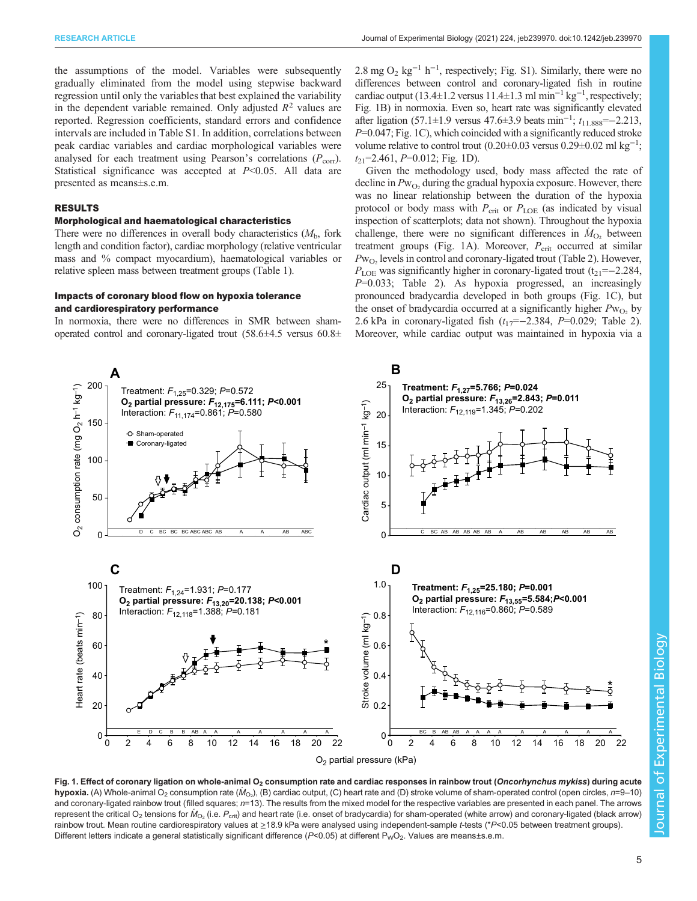<span id="page-4-0"></span>the assumptions of the model. Variables were subsequently gradually eliminated from the model using stepwise backward regression until only the variables that best explained the variability in the dependent variable remained. Only adjusted  $R^2$  values are reported. Regression coefficients, standard errors and confidence intervals are included in [Table S1.](http://jeb.biologists.org/lookup/doi/10.1242/jeb.239970.supplemental) In addition, correlations between peak cardiac variables and cardiac morphological variables were analysed for each treatment using Pearson's correlations  $(P_{corr})$ . Statistical significance was accepted at  $P<0.05$ . All data are presented as means±s.e.m.

# RESULTS

## Morphological and haematological characteristics

There were no differences in overall body characteristics  $(M<sub>b</sub>)$ , fork length and condition factor), cardiac morphology (relative ventricular mass and % compact myocardium), haematological variables or relative spleen mass between treatment groups [\(Table 1](#page-2-0)).

## Impacts of coronary blood flow on hypoxia tolerance and cardiorespiratory performance

In normoxia, there were no differences in SMR between shamoperated control and coronary-ligated trout (58.6±4.5 versus 60.8±

2.8 mg O<sub>2</sub> kg<sup>-1</sup> h<sup>-1</sup>, respectively; [Fig. S1\)](http://jeb.biologists.org/lookup/doi/10.1242/jeb.239970.supplemental). Similarly, there were no differences between control and coronary-ligated fish in routine cardiac output (13.4±1.2 versus 11.4±1.3 ml min<sup>-1</sup> kg<sup>-1</sup>, respectively; Fig. 1B) in normoxia. Even so, heart rate was significantly elevated after ligation (57.1±1.9 versus 47.6±3.9 beats min<sup>-1</sup>;  $t_{11.888}$  = −2.213,  $P=0.047$ ; Fig. 1C), which coincided with a significantly reduced stroke volume relative to control trout  $(0.20 \pm 0.03$  versus  $0.29 \pm 0.02$  ml kg<sup>-1</sup>;  $t_{21}$ =2.461, P=0.012; Fig. 1D).

Given the methodology used, body mass affected the rate of decline in  $Pw_{O_2}$  during the gradual hypoxia exposure. However, there was no linear relationship between the duration of the hypoxia protocol or body mass with  $P_{\text{crit}}$  or  $P_{\text{LOE}}$  (as indicated by visual inspection of scatterplots; data not shown). Throughout the hypoxia challenge, there were no significant differences in  $\dot{M}_{O_2}$  between treatment groups (Fig. 1A). Moreover,  $P_{\text{crit}}$  occurred at similar  $Pw_{O_2}$  levels in control and coronary-ligated trout ([Table 2](#page-5-0)). However,  $P_{\text{LOE}}$  was significantly higher in coronary-ligated trout (t<sub>21</sub>=−2.284,  $P=0.033$ ; [Table 2](#page-5-0)). As hypoxia progressed, an increasingly pronounced bradycardia developed in both groups (Fig. 1C), but the onset of bradycardia occurred at a significantly higher  $Pw_{O_2}$  by 2.6 kPa in coronary-ligated fish  $(t_{17}=-2.384, P=0.029;$  [Table 2\)](#page-5-0). Moreover, while cardiac output was maintained in hypoxia via a



Fig. 1. Effect of coronary ligation on whole-animal O<sub>2</sub> consumption rate and cardiac responses in rainbow trout (Oncorhynchus mykiss) during acute  $\bm{\mathsf{hypoxia}}$ . (A) Whole-animal O $_2$  consumption rate ( $\hat{\bm{\mathsf{M}}}_{\text{O}z}$ ), (B) cardiac output, (C) heart rate and (D) stroke volume of sham-operated control (open circles,  $n$ =9–10) and coronary-ligated rainbow trout (filled squares;  $n=13$ ). The results from the mixed model for the respective variables are presented in each panel. The arrows represent the critical O<sub>2</sub> tensions for  $M_{\rm O_2}$  (i.e.  $P_{\rm crit}$ ) and heart rate (i.e. onset of bradycardia) for sham-operated (white arrow) and coronary-ligated (black arrow) rainbow trout. Mean routine cardiorespiratory values at ≥18.9 kPa were analysed using independent-sample t-tests (\*P<0.05 between treatment groups). Different letters indicate a general statistically significant difference (P<0.05) at different P<sub>W</sub>O<sub>2</sub>. Values are means±s.e.m.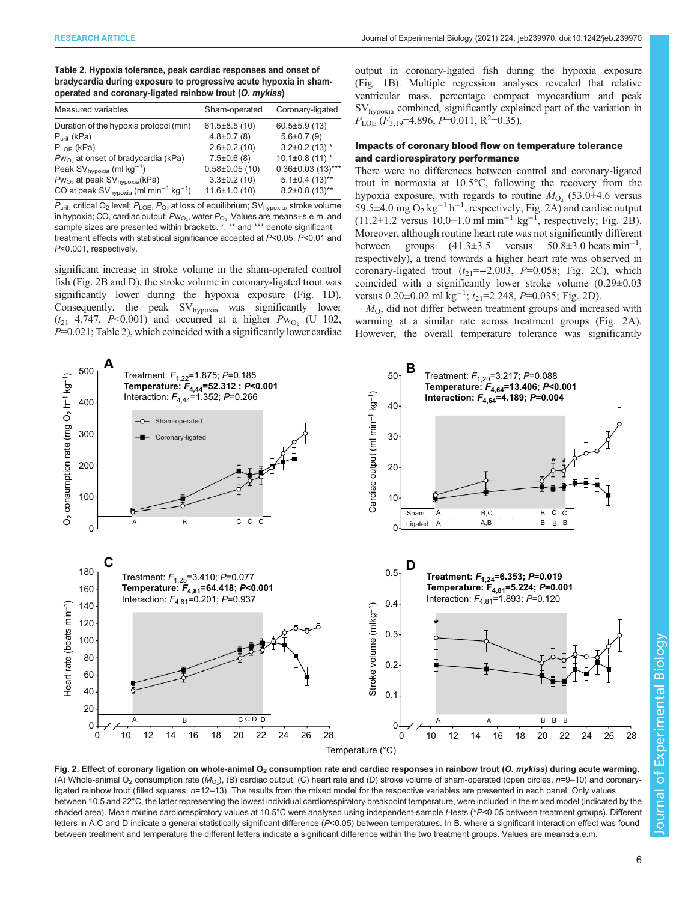<span id="page-5-0"></span>

| Table 2. Hypoxia tolerance, peak cardiac responses and onset of   |
|-------------------------------------------------------------------|
| bradycardia during exposure to progressive acute hypoxia in sham- |
| operated and coronary-ligated rainbow trout (O. mykiss)           |

| Measured variables                                                 | Sham-operated      | Coronary-ligated      |
|--------------------------------------------------------------------|--------------------|-----------------------|
| Duration of the hypoxia protocol (min)                             | $61.5 \pm 8.5(10)$ | $60.5 \pm 5.9(13)$    |
| $P_{\text{crit}}$ (kPa)                                            | $4.8 \pm 0.7$ (8)  | $5.6 \pm 0.7(9)$      |
| $P_{\text{LOF}}$ (kPa)                                             | $2.6 \pm 0.2$ (10) | $3.2\pm0.2$ (13) *    |
| $Pw_{O_2}$ at onset of bradycardia (kPa)                           | $7.5 \pm 0.6$ (8)  | $10.1 \pm 0.8$ (11) * |
| Peak SV <sub>hypoxia</sub> (ml kg <sup>-1</sup> )                  | $0.58\pm0.05(10)$  | $0.36\pm0.03$ (13)*** |
| $Pw_{O_2}$ at peak SV <sub>hypoxia</sub> (kPa)                     | $3.3 \pm 0.2$ (10) | $5.1\pm0.4(13)$ **    |
| CO at peak $SV_{hvooxia}$ (ml min <sup>-1</sup> kg <sup>-1</sup> ) | $11.6 \pm 1.0(10)$ | $8.2\pm0.8$ (13)**    |

 $P_{\text{crit}}$ , critical O<sub>2</sub> level;  $P_{\text{LOE}}$ ,  $P_{\text{O}_2}$  at loss of equilibrium; SV<sub>hypoxia</sub>, stroke volume in hypoxia; CO, cardiac output;  $P$ w $_{\rm O_2}$ , water  $P_{\rm O_2}$ . Values are means±s.e.m. and sample sizes are presented within brackets. \*, \*\* and \*\*\* denote significant treatment effects with statistical significance accepted at P<0.05, P<0.01 and P<0.001, respectively.

significant increase in stroke volume in the sham-operated control fish (Fig. 2B and D), the stroke volume in coronary-ligated trout was significantly lower during the hypoxia exposure [\(Fig. 1D](#page-4-0)). Consequently, the peak  $SV<sub>hypoxia</sub>$  was significantly lower  $(t_{21} = 4.747, P < 0.001)$  and occurred at a higher  $P_{W_{O_2}}$  (U=102,  $P=0.021$ ; Table 2), which coincided with a significantly lower cardiac output in coronary-ligated fish during the hypoxia exposure [\(Fig. 1](#page-4-0)B). Multiple regression analyses revealed that relative ventricular mass, percentage compact myocardium and peak SVhypoxia combined, significantly explained part of the variation in  $P_{\text{LOE}}(F_{3,19}=4.896, P=0.011, R^2=0.35).$ 

# Impacts of coronary blood flow on temperature tolerance and cardiorespiratory performance

There were no differences between control and coronary-ligated trout in normoxia at 10.5°C, following the recovery from the hypoxia exposure, with regards to routine  $\dot{M}_{\text{O}_2}$  (53.0±4.6 versus 59.5±4.0 mg O<sub>2</sub> kg<sup>-1</sup> h<sup>-1</sup>, respectively; Fig. 2A) and cardiac output  $(11.2 \pm 1.2 \text{ versus } 10.0 \pm 1.0 \text{ ml min}^{-1} \text{ kg}^{-1}$ , respectively; Fig. 2B). Moreover, although routine heart rate was not significantly different between groups  $(41.3 \pm 3.5$  versus  $50.8 \pm 3.0$  beats min<sup>-1</sup>, respectively), a trend towards a higher heart rate was observed in coronary-ligated trout  $(t_{21}=-2.003, P=0.058;$  Fig. 2C), which coincided with a significantly lower stroke volume (0.29±0.03 versus 0.20±0.02 ml  $kg^{-1}$ ;  $t_{21}$ =2.248, P=0.035; Fig. 2D).

 $\dot{M}_{\text{O}_2}$  did not differ between treatment groups and increased with warming at a similar rate across treatment groups (Fig. 2A). However, the overall temperature tolerance was significantly



Fig. 2. Effect of coronary ligation on whole-animal  $O<sub>2</sub>$  consumption rate and cardiac responses in rainbow trout (O. mykiss) during acute warming. (A) Whole-animal O<sub>2</sub> consumption rate ( $\dot{M}_{\odot}$ ), (B) cardiac output, (C) heart rate and (D) stroke volume of sham-operated (open circles, n=9–10) and coronaryligated rainbow trout (filled squares;  $n=12-13$ ). The results from the mixed model for the respective variables are presented in each panel. Only values between 10.5 and 22°C, the latter representing the lowest individual cardiorespiratory breakpoint temperature, were included in the mixed model (indicated by the shaded area). Mean routine cardiorespiratory values at 10.5°C were analysed using independent-sample t-tests (\*P<0.05 between treatment groups). Different letters in A,C and D indicate a general statistically significant difference (P<0.05) between temperatures. In B, where a significant interaction effect was found between treatment and temperature the different letters indicate a significant difference within the two treatment groups. Values are means±s.e.m.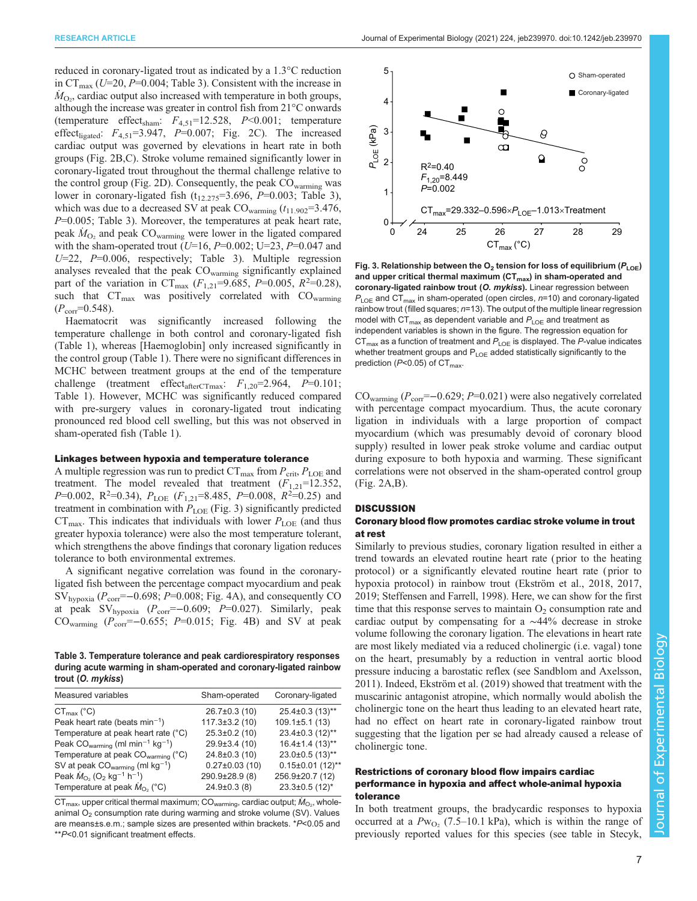reduced in coronary-ligated trout as indicated by a 1.3°C reduction in  $CT_{\text{max}}$  (U=20, P=0.004; Table 3). Consistent with the increase in  $\dot{M}_{\text{O}_2}$ , cardiac output also increased with temperature in both groups, although the increase was greater in control fish from 21°C onwards (temperature effect<sub>sham</sub>:  $F_{4,51}$ =12.528,  $P$ <0.001; temperature effect<sub>ligated</sub>:  $F_{4,51}$ =3.947,  $P$ =0.007; [Fig. 2](#page-5-0)C). The increased cardiac output was governed by elevations in heart rate in both groups [\(Fig. 2B](#page-5-0),C). Stroke volume remained significantly lower in coronary-ligated trout throughout the thermal challenge relative to the control group [\(Fig. 2](#page-5-0)D). Consequently, the peak CO<sub>warming</sub> was lower in coronary-ligated fish  $(t_{12.275}=3.696, P=0.003;$  Table 3), which was due to a decreased SV at peak  $CO_{\text{warming}}(t_{11.902}=3.476,$  $P=0.005$ ; Table 3). Moreover, the temperatures at peak heart rate, peak  $\dot{M}_{\text{O}_2}$  and peak CO<sub>warming</sub> were lower in the ligated compared with the sham-operated trout ( $U=16$ ,  $P=0.002$ ;  $U=23$ ,  $P=0.047$  and  $U=22$ ,  $P=0.006$ , respectively; Table 3). Multiple regression analyses revealed that the peak  $CO_{\text{warming}}$  significantly explained part of the variation in CT<sub>max</sub> ( $F_{1,21}$ =9.685, P=0.005, R<sup>2</sup>=0.28), such that  $CT_{\text{max}}$  was positively correlated with  $CO_{\text{warming}}$  $(P_{corr}=0.548)$ .

Haematocrit was significantly increased following the temperature challenge in both control and coronary-ligated fish [\(Table 1](#page-2-0)), whereas [Haemoglobin] only increased significantly in the control group [\(Table 1](#page-2-0)). There were no significant differences in MCHC between treatment groups at the end of the temperature challenge (treatment effect<sub>afterCTmax</sub>:  $F_{1,20}$ =2.964, P=0.101; [Table 1\)](#page-2-0). However, MCHC was significantly reduced compared with pre-surgery values in coronary-ligated trout indicating pronounced red blood cell swelling, but this was not observed in sham-operated fish [\(Table 1](#page-2-0)).

## Linkages between hypoxia and temperature tolerance

A multiple regression was run to predict  $CT_{\text{max}}$  from  $P_{\text{crit}}$ ,  $P_{\text{LOE}}$  and treatment. The model revealed that treatment  $(F_{1,21}=12.352)$ ,  $P=0.002$ , R<sup>2</sup>=0.34),  $P_{\text{LOE}}$  ( $F_{1,21}$ =8.485,  $P=0.008$ ,  $R^2=0.25$ ) and treatment in combination with  $P_{\text{LOE}}$  (Fig. 3) significantly predicted  $CT_{\text{max}}$ . This indicates that individuals with lower  $P_{\text{LOE}}$  (and thus greater hypoxia tolerance) were also the most temperature tolerant, which strengthens the above findings that coronary ligation reduces tolerance to both environmental extremes.

A significant negative correlation was found in the coronaryligated fish between the percentage compact myocardium and peak  $SV_{hvooxia}$  ( $P_{corr}$ =–0.698; P=0.008; [Fig. 4A](#page-7-0)), and consequently CO at peak  $SV_{hypoxia}$  ( $P_{corr}=-0.609$ ;  $P=0.027$ ). Similarly, peak CO<sub>warming</sub> ( $P_{corr}=-0.655$ ;  $P=0.015$ ; [Fig. 4B](#page-7-0)) and SV at peak

Table 3. Temperature tolerance and peak cardiorespiratory responses during acute warming in sham-operated and coronary-ligated rainbow trout (O. mykiss)

| Measured variables                                                           | Sham-operated        | Coronary-ligated       |
|------------------------------------------------------------------------------|----------------------|------------------------|
| $CT_{\text{max}}$ (°C)                                                       | $26.7 \pm 0.3$ (10)  | 25.4±0.3 (13)**        |
| Peak heart rate (beats $min^{-1}$ )                                          | $117.3 \pm 3.2$ (10) | $109.1 \pm 5.1(13)$    |
| Temperature at peak heart rate (°C)                                          | $25.3 \pm 0.2$ (10)  | 23.4±0.3 (12)**        |
| Peak $CO_{\text{warming}}$ (ml min <sup>-1</sup> kg <sup>-1</sup> )          | 29.9±3.4 (10)        | $16.4 \pm 1.4(13)$ **  |
| Temperature at peak CO <sub>warming</sub> (°C)                               | $24.8 \pm 0.3$ (10)  | 23.0±0.5 (13)**        |
| SV at peak $CO_{\text{warming}}$ (ml kg <sup>-1</sup> )                      | $0.27 \pm 0.03$ (10) | $0.15 \pm 0.01$ (12)** |
| Peak $\dot{M}_{\Omega_2}$ (O <sub>2</sub> kg <sup>-1</sup> h <sup>-1</sup> ) | 290.9±28.9(8)        | 256.9±20.7 (12)        |
| Temperature at peak $M_{\text{O}_2}$ (°C)                                    | $24.9 \pm 0.3$ (8)   | $23.3 \pm 0.5$ (12)*   |
|                                                                              |                      |                        |

 $\mathsf{CT}_{\mathsf{max}}$ , upper critical thermal maximum;  $\mathsf{CO}_{\mathsf{warming}}$ , cardiac output;  $\dot{\mathsf{M}}_{\mathsf{O}_2}$ , wholeanimal  $O<sub>2</sub>$  consumption rate during warming and stroke volume (SV). Values are means±s.e.m.; sample sizes are presented within brackets. \*P<0.05 and \*\*P<0.01 significant treatment effects.



Fig. 3. Relationship between the  $O_2$  tension for loss of equilibrium ( $P_{\text{LOE}}$ ) and upper critical thermal maximum  $(CT_{max})$  in sham-operated and coronary-ligated rainbow trout (O. mykiss). Linear regression between  $P_{\text{LOE}}$  and CT<sub>max</sub> in sham-operated (open circles,  $n=10$ ) and coronary-ligated rainbow trout (filled squares;  $n=13$ ). The output of the multiple linear regression model with  $CT_{max}$  as dependent variable and  $P_{\text{LOE}}$  and treatment as independent variables is shown in the figure. The regression equation for  $CT_{max}$  as a function of treatment and  $P_{\text{LOE}}$  is displayed. The P-value indicates whether treatment groups and  $P_{\text{LOE}}$  added statistically significantly to the prediction ( $P$ <0.05) of CT<sub>max</sub>.

CO<sub>warming</sub> ( $P_{\text{corr}}$ =−0.629; P=0.021) were also negatively correlated with percentage compact myocardium. Thus, the acute coronary ligation in individuals with a large proportion of compact myocardium (which was presumably devoid of coronary blood supply) resulted in lower peak stroke volume and cardiac output during exposure to both hypoxia and warming. These significant correlations were not observed in the sham-operated control group [\(Fig. 2](#page-5-0)A,B).

## **DISCUSSION**

## Coronary blood flow promotes cardiac stroke volume in trout at rest

Similarly to previous studies, coronary ligation resulted in either a trend towards an elevated routine heart rate ( prior to the heating protocol) or a significantly elevated routine heart rate ( prior to hypoxia protocol) in rainbow trout ([Ekström et al., 2018](#page-9-0), [2017,](#page-9-0) [2019;](#page-9-0) [Steffensen and Farrell, 1998\)](#page-10-0). Here, we can show for the first time that this response serves to maintain  $O_2$  consumption rate and cardiac output by compensating for a ∼44% decrease in stroke volume following the coronary ligation. The elevations in heart rate are most likely mediated via a reduced cholinergic (i.e. vagal) tone on the heart, presumably by a reduction in ventral aortic blood pressure inducing a barostatic reflex (see [Sandblom and Axelsson,](#page-10-0) [2011\)](#page-10-0). Indeed, [Ekström et al. \(2019\)](#page-9-0) showed that treatment with the muscarinic antagonist atropine, which normally would abolish the cholinergic tone on the heart thus leading to an elevated heart rate, had no effect on heart rate in coronary-ligated rainbow trout suggesting that the ligation per se had already caused a release of cholinergic tone.

# Restrictions of coronary blood flow impairs cardiac performance in hypoxia and affect whole-animal hypoxia tolerance

In both treatment groups, the bradycardic responses to hypoxia occurred at a  $Pw_{O_2}$  (7.5–10.1 kPa), which is within the range of previously reported values for this species (see table in [Stecyk,](#page-10-0)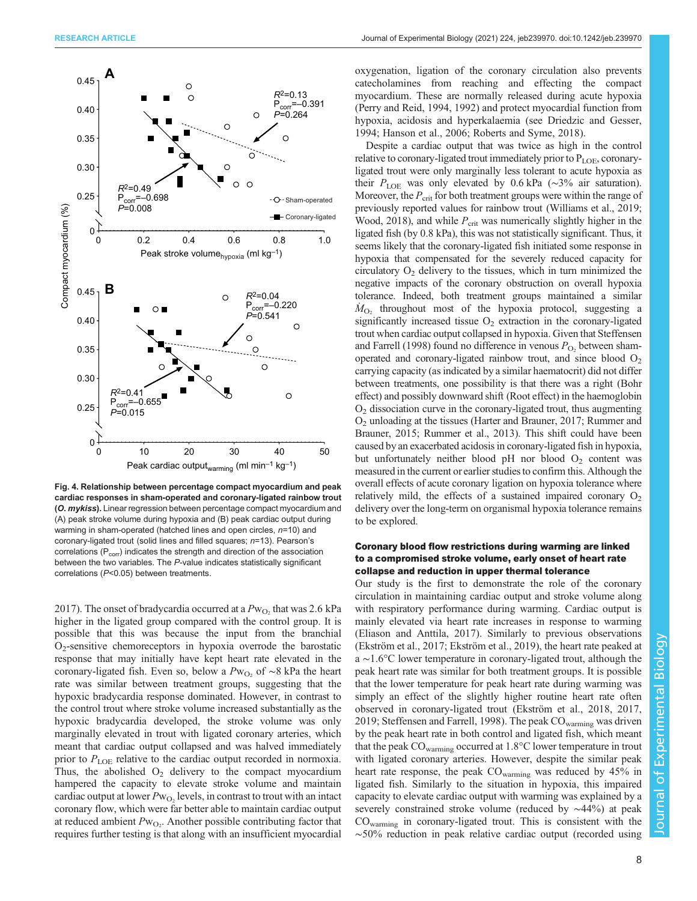<span id="page-7-0"></span>

Fig. 4. Relationship between percentage compact myocardium and peak cardiac responses in sham-operated and coronary-ligated rainbow trout (O. mykiss). Linear regression between percentage compact myocardium and (A) peak stroke volume during hypoxia and (B) peak cardiac output during warming in sham-operated (hatched lines and open circles,  $n=10$ ) and coronary-ligated trout (solid lines and filled squares; n=13). Pearson's correlations ( $P_{\text{corr}}$ ) indicates the strength and direction of the association between the two variables. The P-value indicates statistically significant correlations (P<0.05) between treatments.

[2017](#page-10-0)). The onset of bradycardia occurred at a  $Pw_{O_2}$  that was 2.6 kPa higher in the ligated group compared with the control group. It is possible that this was because the input from the branchial  $O<sub>2</sub>$ -sensitive chemoreceptors in hypoxia overrode the barostatic response that may initially have kept heart rate elevated in the coronary-ligated fish. Even so, below a  $Pw_{O_2}$  of ∼8 kPa the heart rate was similar between treatment groups, suggesting that the hypoxic bradycardia response dominated. However, in contrast to the control trout where stroke volume increased substantially as the hypoxic bradycardia developed, the stroke volume was only marginally elevated in trout with ligated coronary arteries, which meant that cardiac output collapsed and was halved immediately prior to  $P_{\text{LOE}}$  relative to the cardiac output recorded in normoxia. Thus, the abolished  $O_2$  delivery to the compact myocardium hampered the capacity to elevate stroke volume and maintain cardiac output at lower  $Pw_{O_2}$  levels, in contrast to trout with an intact coronary flow, which were far better able to maintain cardiac output at reduced ambient  $Pw_{O_2}$ . Another possible contributing factor that requires further testing is that along with an insufficient myocardial oxygenation, ligation of the coronary circulation also prevents catecholamines from reaching and effecting the compact myocardium. These are normally released during acute hypoxia [\(Perry and Reid, 1994, 1992](#page-10-0)) and protect myocardial function from hypoxia, acidosis and hyperkalaemia (see [Driedzic and Gesser,](#page-9-0) [1994; Hanson et al., 2006](#page-9-0); [Roberts and Syme, 2018](#page-10-0)).

Despite a cardiac output that was twice as high in the control relative to coronary-ligated trout immediately prior to  $P_{\text{LOE}}$ , coronaryligated trout were only marginally less tolerant to acute hypoxia as their  $P_{\text{LOE}}$  was only elevated by 0.6 kPa (~3% air saturation). Moreover, the  $P_{\text{crit}}$  for both treatment groups were within the range of previously reported values for rainbow trout [\(Williams et al., 2019](#page-10-0); [Wood, 2018](#page-10-0)), and while  $P_{\text{crit}}$  was numerically slightly higher in the ligated fish (by 0.8 kPa), this was not statistically significant. Thus, it seems likely that the coronary-ligated fish initiated some response in hypoxia that compensated for the severely reduced capacity for circulatory  $O_2$  delivery to the tissues, which in turn minimized the negative impacts of the coronary obstruction on overall hypoxia tolerance. Indeed, both treatment groups maintained a similar  $\dot{M}_{\text{O}_2}$  throughout most of the hypoxia protocol, suggesting a significantly increased tissue  $O_2$  extraction in the coronary-ligated trout when cardiac output collapsed in hypoxia. Given that [Steffensen](#page-10-0) [and Farrell \(1998\)](#page-10-0) found no difference in venous  $P_{\text{O}_2}$  between shamoperated and coronary-ligated rainbow trout, and since blood  $O<sub>2</sub>$ carrying capacity (as indicated by a similar haematocrit) did not differ between treatments, one possibility is that there was a right (Bohr effect) and possibly downward shift (Root effect) in the haemoglobin  $O<sub>2</sub>$  dissociation curve in the coronary-ligated trout, thus augmenting O2 unloading at the tissues ([Harter and Brauner, 2017;](#page-9-0) [Rummer and](#page-10-0) [Brauner, 2015](#page-10-0); [Rummer et al., 2013](#page-10-0)). This shift could have been caused by an exacerbated acidosis in coronary-ligated fish in hypoxia, but unfortunately neither blood  $pH$  nor blood  $O_2$  content was measured in the current or earlier studies to confirm this. Although the overall effects of acute coronary ligation on hypoxia tolerance where relatively mild, the effects of a sustained impaired coronary  $O<sub>2</sub>$ delivery over the long-term on organismal hypoxia tolerance remains to be explored.

# Coronary blood flow restrictions during warming are linked to a compromised stroke volume, early onset of heart rate collapse and reduction in upper thermal tolerance

Our study is the first to demonstrate the role of the coronary circulation in maintaining cardiac output and stroke volume along with respiratory performance during warming. Cardiac output is mainly elevated via heart rate increases in response to warming [\(Eliason and Anttila, 2017](#page-9-0)). Similarly to previous observations [\(Ekström et al., 2017; Ekström et al., 2019\)](#page-9-0), the heart rate peaked at a ∼1.6°C lower temperature in coronary-ligated trout, although the peak heart rate was similar for both treatment groups. It is possible that the lower temperature for peak heart rate during warming was simply an effect of the slightly higher routine heart rate often observed in coronary-ligated trout ([Ekström et al., 2018, 2017,](#page-9-0) [2019;](#page-9-0) [Steffensen and Farrell, 1998](#page-10-0)). The peak CO<sub>warming</sub> was driven by the peak heart rate in both control and ligated fish, which meant that the peak  $CO_{\text{warming}}$  occurred at 1.8 $\degree$ C lower temperature in trout with ligated coronary arteries. However, despite the similar peak heart rate response, the peak COwarming was reduced by 45% in ligated fish. Similarly to the situation in hypoxia, this impaired capacity to elevate cardiac output with warming was explained by a severely constrained stroke volume (reduced by ~44%) at peak COwarming in coronary-ligated trout. This is consistent with the ∼50% reduction in peak relative cardiac output (recorded using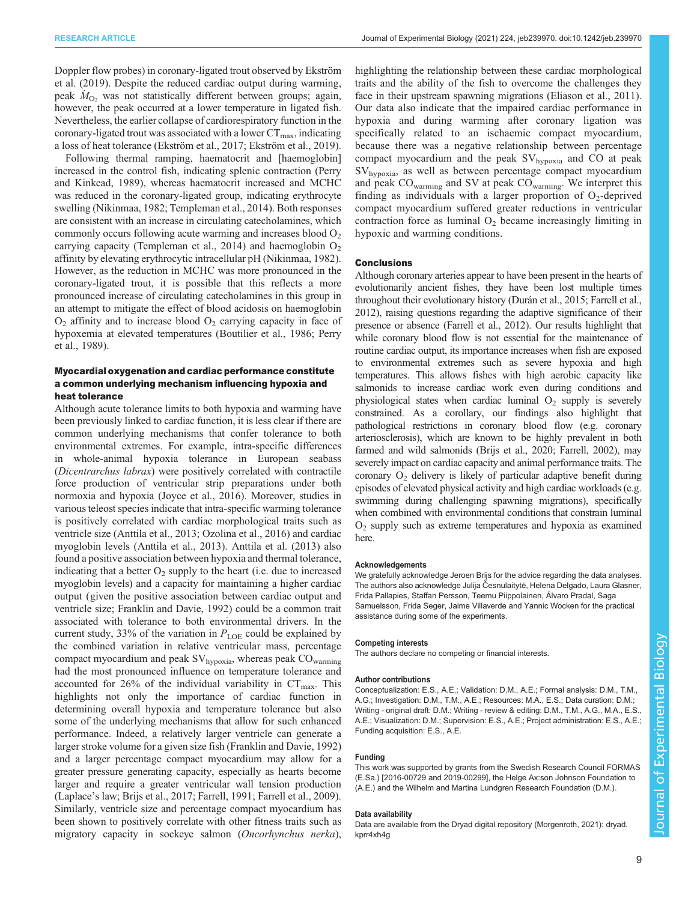Doppler flow probes) in coronary-ligated trout observed by [Ekström](#page-9-0) [et al. \(2019\)](#page-9-0). Despite the reduced cardiac output during warming, peak  $M_{\text{O}_2}$  was not statistically different between groups; again, however, the peak occurred at a lower temperature in ligated fish. Nevertheless, the earlier collapse of cardiorespiratory function in the coronary-ligated trout was associated with a lower  $CT_{\text{max}}$ , indicating a loss of heat tolerance ([Ekström et al., 2017](#page-9-0); [Ekström et al., 2019\)](#page-9-0).

Following thermal ramping, haematocrit and [haemoglobin] increased in the control fish, indicating splenic contraction ([Perry](#page-10-0) [and Kinkead, 1989\)](#page-10-0), whereas haematocrit increased and MCHC was reduced in the coronary-ligated group, indicating erythrocyte swelling ([Nikinmaa, 1982;](#page-9-0) [Templeman et al., 2014](#page-10-0)). Both responses are consistent with an increase in circulating catecholamines, which commonly occurs following acute warming and increases blood  $O<sub>2</sub>$ carrying capacity ([Templeman et al., 2014\)](#page-10-0) and haemoglobin  $O<sub>2</sub>$ affinity by elevating erythrocytic intracellular pH [\(Nikinmaa, 1982\)](#page-9-0). However, as the reduction in MCHC was more pronounced in the coronary-ligated trout, it is possible that this reflects a more pronounced increase of circulating catecholamines in this group in an attempt to mitigate the effect of blood acidosis on haemoglobin  $O<sub>2</sub>$  affinity and to increase blood  $O<sub>2</sub>$  carrying capacity in face of hypoxemia at elevated temperatures ([Boutilier et al., 1986;](#page-9-0) [Perry](#page-10-0) [et al., 1989\)](#page-10-0).

# Myocardial oxygenation and cardiac performance constitute a common underlying mechanism influencing hypoxia and heat tolerance

Although acute tolerance limits to both hypoxia and warming have been previously linked to cardiac function, it is less clear if there are common underlying mechanisms that confer tolerance to both environmental extremes. For example, intra-specific differences in whole-animal hypoxia tolerance in European seabass (Dicentrarchus labrax) were positively correlated with contractile force production of ventricular strip preparations under both normoxia and hypoxia [\(Joyce et al., 2016\)](#page-9-0). Moreover, studies in various teleost species indicate that intra-specific warming tolerance is positively correlated with cardiac morphological traits such as ventricle size ([Anttila et al., 2013; Ozolina et al., 2016\)](#page-9-0) and cardiac myoglobin levels ([Anttila et al., 2013\)](#page-9-0). [Anttila et al. \(2013\)](#page-9-0) also found a positive association between hypoxia and thermal tolerance, indicating that a better  $O_2$  supply to the heart (i.e. due to increased myoglobin levels) and a capacity for maintaining a higher cardiac output (given the positive association between cardiac output and ventricle size; [Franklin and Davie, 1992\)](#page-9-0) could be a common trait associated with tolerance to both environmental drivers. In the current study, 33% of the variation in  $P_{\text{LOE}}$  could be explained by the combined variation in relative ventricular mass, percentage compact myocardium and peak  $SV_{hypoxia}$ , whereas peak  $CO_{warming}$ had the most pronounced influence on temperature tolerance and accounted for 26% of the individual variability in  $CT_{\text{max}}$ . This highlights not only the importance of cardiac function in determining overall hypoxia and temperature tolerance but also some of the underlying mechanisms that allow for such enhanced performance. Indeed, a relatively larger ventricle can generate a larger stroke volume for a given size fish [\(Franklin and Davie, 1992\)](#page-9-0) and a larger percentage compact myocardium may allow for a greater pressure generating capacity, especially as hearts become larger and require a greater ventricular wall tension production (Laplace's law; [Brijs et al., 2017](#page-9-0); [Farrell, 1991; Farrell et al., 2009\)](#page-9-0). Similarly, ventricle size and percentage compact myocardium has been shown to positively correlate with other fitness traits such as migratory capacity in sockeye salmon (Oncorhynchus nerka),

highlighting the relationship between these cardiac morphological traits and the ability of the fish to overcome the challenges they face in their upstream spawning migrations ([Eliason et al., 2011\)](#page-9-0). Our data also indicate that the impaired cardiac performance in hypoxia and during warming after coronary ligation was specifically related to an ischaemic compact myocardium, because there was a negative relationship between percentage compact myocardium and the peak  $SV_{hypoxia}$  and CO at peak SVhypoxia, as well as between percentage compact myocardium and peak COwarming and SV at peak COwarming. We interpret this finding as individuals with a larger proportion of  $O_2$ -deprived compact myocardium suffered greater reductions in ventricular contraction force as luminal  $O_2$  became increasingly limiting in hypoxic and warming conditions.

## Conclusions

Although coronary arteries appear to have been present in the hearts of evolutionarily ancient fishes, they have been lost multiple times throughout their evolutionary history ([Durán et al., 2015](#page-9-0); [Farrell et al.,](#page-9-0) [2012](#page-9-0)), raising questions regarding the adaptive significance of their presence or absence ([Farrell et al., 2012\)](#page-9-0). Our results highlight that while coronary blood flow is not essential for the maintenance of routine cardiac output, its importance increases when fish are exposed to environmental extremes such as severe hypoxia and high temperatures. This allows fishes with high aerobic capacity like salmonids to increase cardiac work even during conditions and physiological states when cardiac luminal  $O_2$  supply is severely constrained. As a corollary, our findings also highlight that pathological restrictions in coronary blood flow (e.g. coronary arteriosclerosis), which are known to be highly prevalent in both farmed and wild salmonids [\(Brijs et al., 2020; Farrell, 2002](#page-9-0)), may severely impact on cardiac capacity and animal performance traits. The coronary  $O_2$  delivery is likely of particular adaptive benefit during episodes of elevated physical activity and high cardiac workloads (e.g. swimming during challenging spawning migrations), specifically when combined with environmental conditions that constrain luminal  $O<sub>2</sub>$  supply such as extreme temperatures and hypoxia as examined here.

#### Acknowledgements

We gratefully acknowledge Jeroen Brijs for the advice regarding the data analyses. The authors also acknowledge Julija Česnulaitytė, Helena Delgado, Laura Glasner, Frida Pallapies, Staffan Persson, Teemu Piippolainen, Álvaro Pradal, Saga Samuelsson, Frida Seger, Jaime Villaverde and Yannic Wocken for the practical assistance during some of the experiments.

#### Competing interests

The authors declare no competing or financial interests.

#### Author contributions

Conceptualization: E.S., A.E.; Validation: D.M., A.E.; Formal analysis: D.M., T.M., A.G.; Investigation: D.M., T.M., A.E.; Resources: M.A., E.S.; Data curation: D.M.; Writing - original draft: D.M.; Writing - review & editing: D.M., T.M., A.G., M.A., E.S., A.E.; Visualization: D.M.; Supervision: E.S., A.E.; Project administration: E.S., A.E.; Funding acquisition: E.S., A.E.

#### Funding

This work was supported by grants from the Swedish Research Council FORMAS (E.Sa.) [2016-00729 and 2019-00299], the Helge Ax:son Johnson Foundation to (A.E.) and the Wilhelm and Martina Lundgren Research Foundation (D.M.).

#### Data availability

Data are available from the Dryad digital repository ([Morgenroth, 2021](#page-9-0)): [dryad.](https://doi.org/10.5061/dryad.kprr4xh4g) [kprr4xh4g](https://doi.org/10.5061/dryad.kprr4xh4g)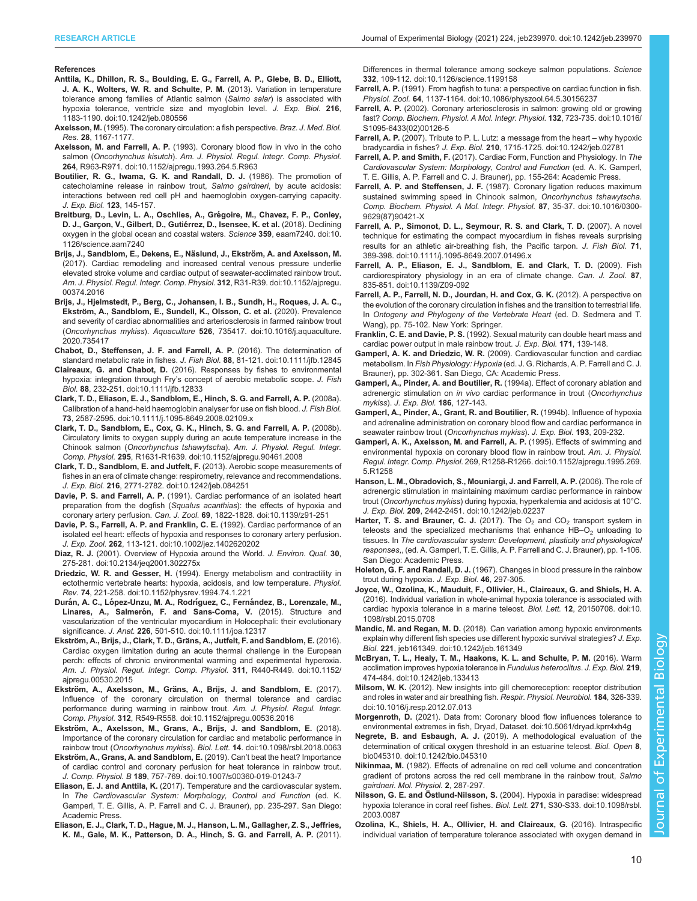#### <span id="page-9-0"></span>References

- [Anttila, K., Dhillon, R. S., Boulding, E. G., Farrell, A. P., Glebe, B. D., Elliott,](https://doi.org/10.1242/jeb.080556) [J. A. K., Wolters, W. R. and Schulte, P. M.](https://doi.org/10.1242/jeb.080556) (2013). Variation in temperature [tolerance among families of Atlantic salmon \(](https://doi.org/10.1242/jeb.080556)Salmo salar) is associated with [hypoxia tolerance, ventricle size and myoglobin level.](https://doi.org/10.1242/jeb.080556) J. Exp. Biol. 216, [1183-1190. doi:10.1242/jeb.080556](https://doi.org/10.1242/jeb.080556)
- Axelsson, M. (1995). The coronary circulation: a fish perspective. Braz. J. Med. Biol. Res. 28, 1167-1177.
- Axelsson, M. and Farrell, A. P. [\(1993\). Coronary blood flow in vivo in the coho](https://doi.org/10.1152/ajpregu.1993.264.5.R963) salmon (Oncorhynchus kisutch). [Am. J. Physiol. Regul. Integr. Comp. Physiol.](https://doi.org/10.1152/ajpregu.1993.264.5.R963) 264[, R963-R971. doi:10.1152/ajpregu.1993.264.5.R963](https://doi.org/10.1152/ajpregu.1993.264.5.R963)
- Boutilier, R. G., Iwama, G. K. and Randall, D. J. (1986). The promotion of catecholamine release in rainbow trout, Salmo gairdneri, by acute acidosis: interactions between red cell pH and haemoglobin oxygen-carrying capacity. J. Exp. Biol. 123, 145-157.
- Breitburg, D., Levin, L. A., Oschlies, A., Grégoire, M., Chavez, F. P., Conley, D. J., Garçon, V., Gilbert, D., Gutiérrez, D., Isensee, K. et al. (2018). Declining [oxygen in the global ocean and coastal waters.](https://doi.org/10.1126/science.aam7240) Science 359, eaam7240. doi:10. [1126/science.aam7240](https://doi.org/10.1126/science.aam7240)
- Brijs, J., Sandblom, E., Dekens, E., Näslund, J., Ekström, A. and Axelsson, M. [\(2017\). Cardiac remodeling and increased central venous pressure underlie](https://doi.org/10.1152/ajpregu.00374.2016) [elevated stroke volume and cardiac output of seawater-acclimated rainbow trout.](https://doi.org/10.1152/ajpregu.00374.2016) [Am. J. Physiol. Regul. Integr. Comp. Physiol.](https://doi.org/10.1152/ajpregu.00374.2016) 312, R31-R39. doi:10.1152/ajpregu. [00374.2016](https://doi.org/10.1152/ajpregu.00374.2016)
- [Brijs, J., Hjelmstedt, P., Berg, C., Johansen, I. B., Sundh, H., Roques, J. A. C.,](https://doi.org/10.1016/j.aquaculture.2020.735417) Ekströ[m, A., Sandblom, E., Sundell, K., Olsson, C. et al.](https://doi.org/10.1016/j.aquaculture.2020.735417) (2020). Prevalence [and severity of cardiac abnormalities and arteriosclerosis in farmed rainbow trout](https://doi.org/10.1016/j.aquaculture.2020.735417) (Oncorhynchus mykiss). Aquaculture 526[, 735417. doi:10.1016/j.aquaculture.](https://doi.org/10.1016/j.aquaculture.2020.735417) [2020.735417](https://doi.org/10.1016/j.aquaculture.2020.735417)
- [Chabot, D., Steffensen, J. F. and Farrell, A. P.](https://doi.org/10.1111/jfb.12845) (2016). The determination of [standard metabolic rate in fishes.](https://doi.org/10.1111/jfb.12845) J. Fish Biol. 88, 81-121. doi:10.1111/jfb.12845
- Claireaux, G. and Chabot, D. [\(2016\). Responses by fishes to environmental](https://doi.org/10.1111/jfb.12833) hypoxia: integration through Fry'[s concept of aerobic metabolic scope.](https://doi.org/10.1111/jfb.12833) J. Fish Biol. 88[, 232-251. doi:10.1111/jfb.12833](https://doi.org/10.1111/jfb.12833)
- [Clark, T. D., Eliason, E. J., Sandblom, E., Hinch, S. G. and Farrell, A. P.](https://doi.org/10.1111/j.1095-8649.2008.02109.x) (2008a). [Calibration of a hand-held haemoglobin analyser for use on fish blood.](https://doi.org/10.1111/j.1095-8649.2008.02109.x) J. Fish Biol. 73[, 2587-2595. doi:10.1111/j.1095-8649.2008.02109.x](https://doi.org/10.1111/j.1095-8649.2008.02109.x)
- [Clark, T. D., Sandblom, E., Cox, G. K., Hinch, S. G. and Farrell, A. P.](https://doi.org/10.1152/ajpregu.90461.2008) (2008b). [Circulatory limits to oxygen supply during an acute temperature increase in the](https://doi.org/10.1152/ajpregu.90461.2008) Chinook salmon (Oncorhynchus tshawytscha). [Am. J. Physiol. Regul. Integr.](https://doi.org/10.1152/ajpregu.90461.2008) Comp. Physiol. 295[, R1631-R1639. doi:10.1152/ajpregu.90461.2008](https://doi.org/10.1152/ajpregu.90461.2008)
- [Clark, T. D., Sandblom, E. and Jutfelt, F.](https://doi.org/10.1242/jeb.084251) (2013). Aerobic scope measurements of [fishes in an era of climate change: respirometry, relevance and recommendations.](https://doi.org/10.1242/jeb.084251) J. Exp. Biol. 216[, 2771-2782. doi:10.1242/jeb.084251](https://doi.org/10.1242/jeb.084251)
- Davie, P. S. and Farrell, A. P. [\(1991\). Cardiac performance of an isolated heart](https://doi.org/10.1139/z91-251) [preparation from the dogfish \(](https://doi.org/10.1139/z91-251)Squalus acanthias): the effects of hypoxia and coronary artery perfusion. Can. J. Zool. 69[, 1822-1828. doi:10.1139/z91-251](https://doi.org/10.1139/z91-251)
- [Davie, P. S., Farrell, A. P. and Franklin, C. E.](https://doi.org/10.1002/jez.1402620202) (1992). Cardiac performance of an [isolated eel heart: effects of hypoxia and responses to coronary artery perfusion.](https://doi.org/10.1002/jez.1402620202) J. Exp. Zool. 262[, 113-121. doi:10.1002/jez.1402620202](https://doi.org/10.1002/jez.1402620202)
- Diaz, R. J. [\(2001\). Overview of Hypoxia around the World.](https://doi.org/10.2134/jeq2001.302275x) J. Environ. Qual. 30, [275-281. doi:10.2134/jeq2001.302275x](https://doi.org/10.2134/jeq2001.302275x)
- Driedzic, W. R. and Gesser, H. [\(1994\). Energy metabolism and contractility in](https://doi.org/10.1152/physrev.1994.74.1.221) [ectothermic vertebrate hearts: hypoxia, acidosis, and low temperature.](https://doi.org/10.1152/physrev.1994.74.1.221) Physiol. Rev. 74[, 221-258. doi:10.1152/physrev.1994.74.1.221](https://doi.org/10.1152/physrev.1994.74.1.221)
- Durán, A. C., López-Unzu, M. A., Rodríguez, C., Ferná[ndez, B., Lorenzale, M.,](https://doi.org/10.1111/joa.12317) Linares, A., Salmeró[n, F. and Sans-Coma, V.](https://doi.org/10.1111/joa.12317) (2015). Structure and [vascularization of the ventricular myocardium in Holocephali: their evolutionary](https://doi.org/10.1111/joa.12317) significance. J. Anat. 226[, 501-510. doi:10.1111/joa.12317](https://doi.org/10.1111/joa.12317)
- Ekström, A., Brijs, J., Clark, T. D., Grä[ns, A., Jutfelt, F. and Sandblom, E.](https://doi.org/10.1152/ajpregu.00530.2015) (2016). [Cardiac oxygen limitation during an acute thermal challenge in the European](https://doi.org/10.1152/ajpregu.00530.2015) [perch: effects of chronic environmental warming and experimental hyperoxia.](https://doi.org/10.1152/ajpregu.00530.2015) [Am. J. Physiol. Regul. Integr. Comp. Physiol.](https://doi.org/10.1152/ajpregu.00530.2015) 311, R440-R449. doi:10.1152/ [ajpregu.00530.2015](https://doi.org/10.1152/ajpregu.00530.2015)
- Ekström, A., Axelsson, M., Grä[ns, A., Brijs, J. and Sandblom, E.](https://doi.org/10.1152/ajpregu.00536.2016) (2017). [Influence of the coronary circulation on thermal tolerance and cardiac](https://doi.org/10.1152/ajpregu.00536.2016) [performance during warming in rainbow trout.](https://doi.org/10.1152/ajpregu.00536.2016) Am. J. Physiol. Regul. Integr. Comp. Physiol. 312[, R549-R558. doi:10.1152/ajpregu.00536.2016](https://doi.org/10.1152/ajpregu.00536.2016)
- Ekströ[m, A., Axelsson, M., Grans, A., Brijs, J. and Sandblom, E.](https://doi.org/10.1098/rsbl.2018.0063) (2018). [Importance of the coronary circulation for cardiac and metabolic performance in](https://doi.org/10.1098/rsbl.2018.0063) rainbow trout (Oncorhynchus mykiss). Biol. Lett. 14[. doi:10.1098/rsbl.2018.0063](https://doi.org/10.1098/rsbl.2018.0063)
- Ekströ[m, A., Grans, A. and Sandblom, E.](https://doi.org/10.1007/s00360-019-01243-7) (2019). Can't beat the heat? Importance [of cardiac control and coronary perfusion for heat tolerance in rainbow trout.](https://doi.org/10.1007/s00360-019-01243-7) J. Comp. Physiol. B 189[, 757-769. doi:10.1007/s00360-019-01243-7](https://doi.org/10.1007/s00360-019-01243-7)
- Eliason, E. J. and Anttila, K. (2017). Temperature and the cardiovascular system. In The Cardiovascular System: Morphology, Control and Function (ed. K. Gamperl, T. E. Gillis, A. P. Farrell and C. J. Brauner), pp. 235-297. San Diego: Academic Press.
- [Eliason, E. J., Clark, T. D., Hague, M. J., Hanson, L. M., Gallagher, Z. S., Jeffries,](https://doi.org/10.1126/science.1199158) [K. M., Gale, M. K., Patterson, D. A., Hinch, S. G. and Farrell, A. P.](https://doi.org/10.1126/science.1199158) (2011).

[Differences in thermal tolerance among sockeye salmon populations.](https://doi.org/10.1126/science.1199158) Science 332[, 109-112. doi:10.1126/science.1199158](https://doi.org/10.1126/science.1199158)

- Farrell, A. P. [\(1991\). From hagfish to tuna: a perspective on cardiac function in fish.](https://doi.org/10.1086/physzool.64.5.30156237) Physiol. Zool. 64[, 1137-1164. doi:10.1086/physzool.64.5.30156237](https://doi.org/10.1086/physzool.64.5.30156237)
- Farrell, A. P. [\(2002\). Coronary arteriosclerosis in salmon: growing old or growing](https://doi.org/10.1016/S1095-6433(02)00126-5) fast? [Comp. Biochem. Physiol. A Mol. Integr. Physiol.](https://doi.org/10.1016/S1095-6433(02)00126-5) 132, 723-735. doi:10.1016/ [S1095-6433\(02\)00126-5](https://doi.org/10.1016/S1095-6433(02)00126-5)
- Farrell, A. P. [\(2007\). Tribute to P. L. Lutz: a message from the heart](https://doi.org/10.1242/jeb.02781) why hypoxic bradycardia in fishes? J. Exp. Biol. 210[, 1715-1725. doi:10.1242/jeb.02781](https://doi.org/10.1242/jeb.02781)
- Farrell, A. P. and Smith, F. (2017). Cardiac Form, Function and Physiology. In The Cardiovascular System: Morphology, Control and Function (ed. A. K. Gamperl, T. E. Gillis, A. P. Farrell and C. J. Brauner), pp. 155-264: Academic Press.
- Farrell, A. P. and Steffensen, J. F. [\(1987\). Coronary ligation reduces maximum](https://doi.org/10.1016/0300-9629(87)90421-X) [sustained swimming speed in Chinook salmon,](https://doi.org/10.1016/0300-9629(87)90421-X) Oncorhynchus tshawytscha. [Comp. Biochem. Physiol. A Mol. Integr. Physiol.](https://doi.org/10.1016/0300-9629(87)90421-X) 87, 35-37. doi:10.1016/0300- [9629\(87\)90421-X](https://doi.org/10.1016/0300-9629(87)90421-X)
- [Farrell, A. P., Simonot, D. L., Seymour, R. S. and Clark, T. D.](https://doi.org/10.1111/j.1095-8649.2007.01496.x) (2007). A novel [technique for estimating the compact myocardium in fishes reveals surprising](https://doi.org/10.1111/j.1095-8649.2007.01496.x) [results for an athletic air-breathing fish, the Pacific tarpon.](https://doi.org/10.1111/j.1095-8649.2007.01496.x) J. Fish Biol. 71, [389-398. doi:10.1111/j.1095-8649.2007.01496.x](https://doi.org/10.1111/j.1095-8649.2007.01496.x)
- [Farrell, A. P., Eliason, E. J., Sandblom, E. and Clark, T. D.](https://doi.org/10.1139/Z09-092) (2009). Fish [cardiorespiratory physiology in an era of climate change.](https://doi.org/10.1139/Z09-092) Can. J. Zool. 87, [835-851. doi:10.1139/Z09-092](https://doi.org/10.1139/Z09-092)
- Farrell, A. P., Farrell, N. D., Jourdan, H. and Cox, G. K. (2012). A perspective on the evolution of the coronary circulation in fishes and the transition to terrestrial life. In Ontogeny and Phylogeny of the Vertebrate Heart (ed. D. Sedmera and T. Wang), pp. 75-102. New York: Springer.
- Franklin, C. E. and Davie, P. S. (1992). Sexual maturity can double heart mass and cardiac power output in male rainbow trout. J. Exp. Biol. 171, 139-148.
- Gamperl, A. K. and Driedzic, W. R. (2009). Cardiovascular function and cardiac metabolism. In Fish Physiology: Hypoxia (ed. J. G. Richards, A. P. Farrell and C. J. Brauner), pp. 302-361. San Diego, CA: Academic Press.
- Gamperl, A., Pinder, A. and Boutilier, R. (1994a). Effect of coronary ablation and adrenergic stimulation on in vivo cardiac performance in trout (Oncorhynchus mykiss). J. Exp. Biol. 186, 127-143.
- Gamperl, A., Pinder, A., Grant, R. and Boutilier, R. (1994b). Influence of hypoxia and adrenaline administration on coronary blood flow and cardiac performance in seawater rainbow trout (Oncorhynchus mykiss). J. Exp. Biol. 193, 209-232.
- [Gamperl, A. K., Axelsson, M. and Farrell, A. P.](https://doi.org/10.1152/ajpregu.1995.269.5.R1258) (1995). Effects of swimming and [environmental hypoxia on coronary blood flow in rainbow trout.](https://doi.org/10.1152/ajpregu.1995.269.5.R1258) Am. J. Physiol. Regul. Integr. Comp. Physiol. [269, R1258-R1266. doi:10.1152/ajpregu.1995.269.](https://doi.org/10.1152/ajpregu.1995.269.5.R1258) [5.R1258](https://doi.org/10.1152/ajpregu.1995.269.5.R1258)
- [Hanson, L. M., Obradovich, S., Mouniargi, J. and Farrell, A. P.](https://doi.org/10.1242/jeb.02237) (2006). The role of [adrenergic stimulation in maintaining maximum cardiac performance in rainbow](https://doi.org/10.1242/jeb.02237) trout (Oncorhynchus mykiss[\) during hypoxia, hyperkalemia and acidosis at 10°C.](https://doi.org/10.1242/jeb.02237) J. Exp. Biol. 209[, 2442-2451. doi:10.1242/jeb.02237](https://doi.org/10.1242/jeb.02237)
- Harter, T. S. and Brauner, C. J. (2017). The  $O_2$  and  $CO_2$  transport system in teleosts and the specialized mechanisms that enhance  $HB-O<sub>2</sub>$  unloading to tissues. In The cardiovascular system: Development, plasticity and physiological responses,, (ed. A. Gamperl, T. E. Gillis, A. P. Farrell and C. J. Brauner), pp. 1-106. San Diego: Academic Press.
- Holeton, G. F. and Randall, D. J. (1967). Changes in blood pressure in the rainbow trout during hypoxia. J. Exp. Biol. 46, 297-305.
- [Joyce, W., Ozolina, K., Mauduit, F., Ollivier, H., Claireaux, G. and Shiels, H. A.](https://doi.org/10.1098/rsbl.2015.0708) [\(2016\). Individual variation in whole-animal hypoxia tolerance is associated with](https://doi.org/10.1098/rsbl.2015.0708) [cardiac hypoxia tolerance in a marine teleost.](https://doi.org/10.1098/rsbl.2015.0708) Biol. Lett. 12, 20150708. doi:10. [1098/rsbl.2015.0708](https://doi.org/10.1098/rsbl.2015.0708)
- Mandic, M. and Regan, M. D. [\(2018\). Can variation among hypoxic environments](https://doi.org/10.1242/jeb.161349) [explain why different fish species use different hypoxic survival strategies?](https://doi.org/10.1242/jeb.161349) J. Exp. Biol. 221[, jeb161349. doi:10.1242/jeb.161349](https://doi.org/10.1242/jeb.161349)
- [McBryan, T. L., Healy, T. M., Haakons, K. L. and Schulte, P. M.](https://doi.org/10.1242/jeb.133413) (2016). Warm [acclimation improves hypoxia tolerance in](https://doi.org/10.1242/jeb.133413) Fundulus heteroclitus. J. Exp. Biol. 219, [474-484. doi:10.1242/jeb.133413](https://doi.org/10.1242/jeb.133413)
- Milsom, W. K. [\(2012\). New insights into gill chemoreception: receptor distribution](https://doi.org/10.1016/j.resp.2012.07.013) [and roles in water and air breathing fish.](https://doi.org/10.1016/j.resp.2012.07.013) Respir. Physiol. Neurobiol. 184, 326-339. [doi:10.1016/j.resp.2012.07.013](https://doi.org/10.1016/j.resp.2012.07.013)
- Morgenroth, D. [\(2021\). Data from: Coronary blood flow influences tolerance to](https://doi.org/10.5061/dryad.kprr4xh4g) [environmental extremes in fish, Dryad, Dataset. doi:10.5061/dryad.kprr4xh4g](https://doi.org/10.5061/dryad.kprr4xh4g)
- Negrete, B. and Esbaugh, A. J. [\(2019\). A methodological evaluation of the](https://doi.org/10.1242/bio.045310) [determination of critical oxygen threshold in an estuarine teleost.](https://doi.org/10.1242/bio.045310) Biol. Open 8, [bio045310. doi:10.1242/bio.045310](https://doi.org/10.1242/bio.045310)
- Nikinmaa, M. (1982). Effects of adrenaline on red cell volume and concentration gradient of protons across the red cell membrane in the rainbow trout, Salmo gairdneri. Mol. Physiol. 2, 287-297.
- Nilsson, G. E. and Östlund-Nilsson, S. [\(2004\). Hypoxia in paradise: widespread](https://doi.org/10.1098/rsbl.2003.0087) [hypoxia tolerance in coral reef fishes.](https://doi.org/10.1098/rsbl.2003.0087) Biol. Lett. 271, S30-S33. doi:10.1098/rsbl. [2003.0087](https://doi.org/10.1098/rsbl.2003.0087)
- [Ozolina, K., Shiels, H. A., Ollivier, H. and Claireaux, G.](https://doi.org/10.1093/conphys/cov060) (2016). Intraspecific [individual variation of temperature tolerance associated with oxygen demand in](https://doi.org/10.1093/conphys/cov060)